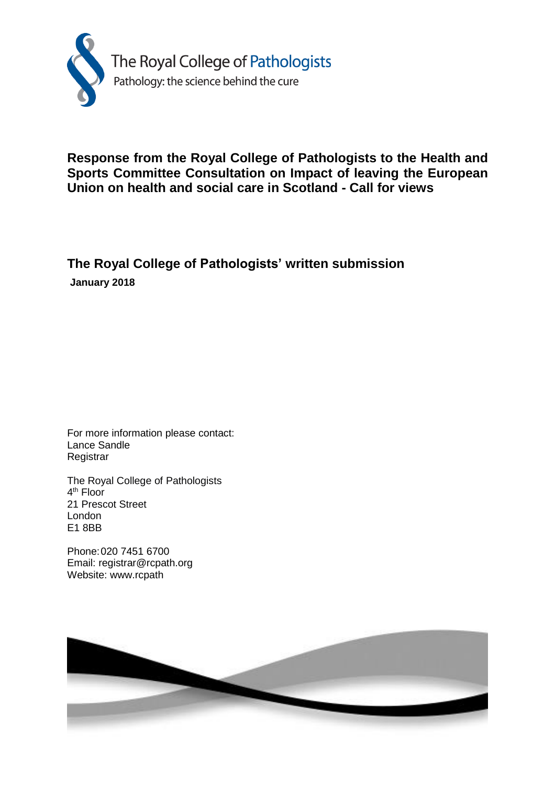

# **Response from the Royal College of Pathologists to the Health and Sports Committee Consultation on Impact of leaving the European Union on health and social care in Scotland - Call for views**

# **The Royal College of Pathologists' written submission January 2018**

For more information please contact: Lance Sandle **Registrar** 

The Royal College of Pathologists 4<sup>th</sup> Floor 21 Prescot Street London E1 8BB

Phone:020 7451 6700 Email: registrar@rcpath.org Website: www.rcpath

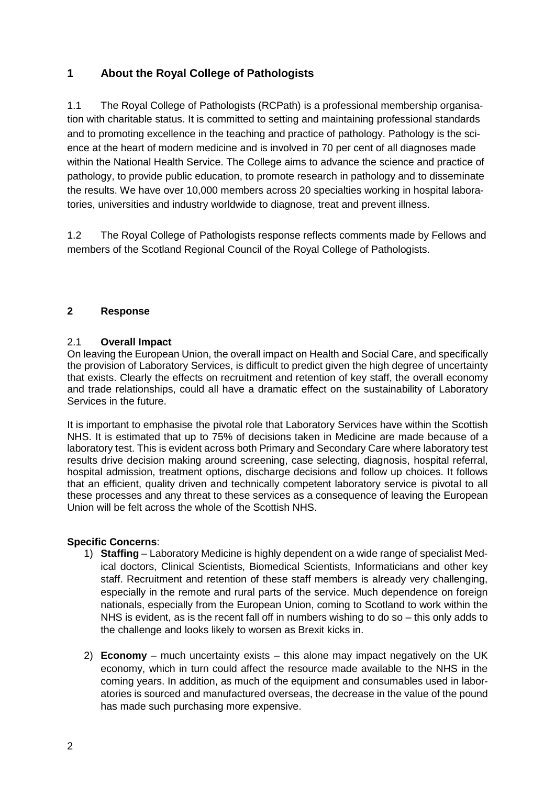# **1 About the Royal College of Pathologists**

1.1 The Royal College of Pathologists (RCPath) is a professional membership organisation with charitable status. It is committed to setting and maintaining professional standards and to promoting excellence in the teaching and practice of pathology. Pathology is the science at the heart of modern medicine and is involved in 70 per cent of all diagnoses made within the National Health Service. The College aims to advance the science and practice of pathology, to provide public education, to promote research in pathology and to disseminate the results. We have over 10,000 members across 20 specialties working in hospital laboratories, universities and industry worldwide to diagnose, treat and prevent illness.

1.2 The Royal College of Pathologists response reflects comments made by Fellows and members of the Scotland Regional Council of the Royal College of Pathologists.

## **2 Response**

## 2.1 **Overall Impact**

On leaving the European Union, the overall impact on Health and Social Care, and specifically the provision of Laboratory Services, is difficult to predict given the high degree of uncertainty that exists. Clearly the effects on recruitment and retention of key staff, the overall economy and trade relationships, could all have a dramatic effect on the sustainability of Laboratory Services in the future.

It is important to emphasise the pivotal role that Laboratory Services have within the Scottish NHS. It is estimated that up to 75% of decisions taken in Medicine are made because of a laboratory test. This is evident across both Primary and Secondary Care where laboratory test results drive decision making around screening, case selecting, diagnosis, hospital referral, hospital admission, treatment options, discharge decisions and follow up choices. It follows that an efficient, quality driven and technically competent laboratory service is pivotal to all these processes and any threat to these services as a consequence of leaving the European Union will be felt across the whole of the Scottish NHS.

#### **Specific Concerns**:

- 1) **Staffing** Laboratory Medicine is highly dependent on a wide range of specialist Medical doctors, Clinical Scientists, Biomedical Scientists, Informaticians and other key staff. Recruitment and retention of these staff members is already very challenging, especially in the remote and rural parts of the service. Much dependence on foreign nationals, especially from the European Union, coming to Scotland to work within the NHS is evident, as is the recent fall off in numbers wishing to do so – this only adds to the challenge and looks likely to worsen as Brexit kicks in.
- 2) **Economy** much uncertainty exists this alone may impact negatively on the UK economy, which in turn could affect the resource made available to the NHS in the coming years. In addition, as much of the equipment and consumables used in laboratories is sourced and manufactured overseas, the decrease in the value of the pound has made such purchasing more expensive.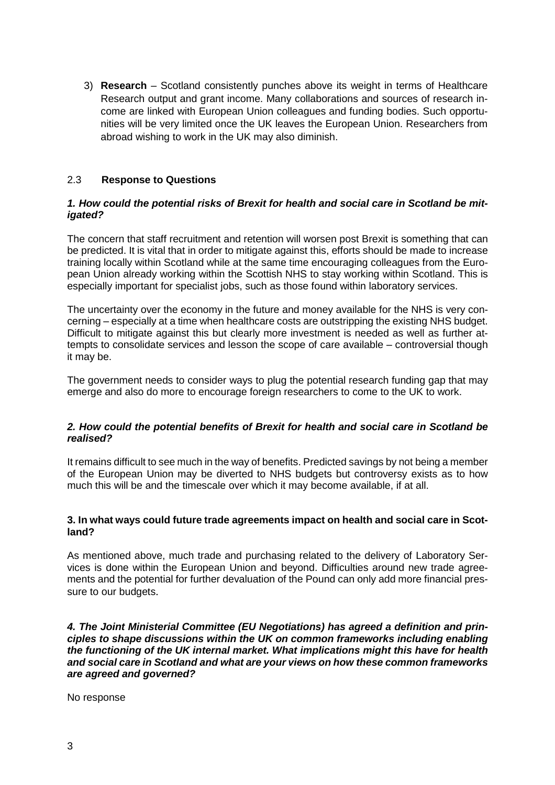3) **Research** – Scotland consistently punches above its weight in terms of Healthcare Research output and grant income. Many collaborations and sources of research income are linked with European Union colleagues and funding bodies. Such opportunities will be very limited once the UK leaves the European Union. Researchers from abroad wishing to work in the UK may also diminish.

#### 2.3 **Response to Questions**

#### *1. How could the potential risks of Brexit for health and social care in Scotland be mitigated?*

The concern that staff recruitment and retention will worsen post Brexit is something that can be predicted. It is vital that in order to mitigate against this, efforts should be made to increase training locally within Scotland while at the same time encouraging colleagues from the European Union already working within the Scottish NHS to stay working within Scotland. This is especially important for specialist jobs, such as those found within laboratory services.

The uncertainty over the economy in the future and money available for the NHS is very concerning – especially at a time when healthcare costs are outstripping the existing NHS budget. Difficult to mitigate against this but clearly more investment is needed as well as further attempts to consolidate services and lesson the scope of care available – controversial though it may be.

The government needs to consider ways to plug the potential research funding gap that may emerge and also do more to encourage foreign researchers to come to the UK to work.

#### *2. How could the potential benefits of Brexit for health and social care in Scotland be realised?*

It remains difficult to see much in the way of benefits. Predicted savings by not being a member of the European Union may be diverted to NHS budgets but controversy exists as to how much this will be and the timescale over which it may become available, if at all.

#### **3. In what ways could future trade agreements impact on health and social care in Scotland?**

As mentioned above, much trade and purchasing related to the delivery of Laboratory Services is done within the European Union and beyond. Difficulties around new trade agreements and the potential for further devaluation of the Pound can only add more financial pressure to our budgets.

*4. The Joint Ministerial Committee (EU Negotiations) has agreed a definition and principles to shape discussions within the UK on common frameworks including enabling the functioning of the UK internal market. What implications might this have for health and social care in Scotland and what are your views on how these common frameworks are agreed and governed?*

No response